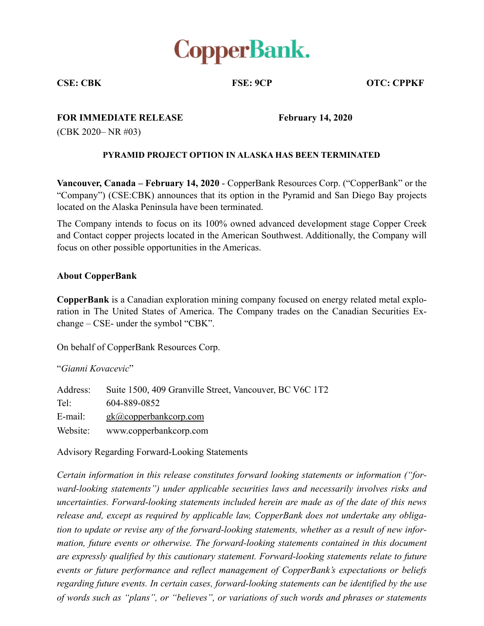

**CSE: CBK FSE: 9CP OTC: CPPKF** 

**FOR IMMEDIATE RELEASE** February 14, 2020

(CBK 2020– NR #03)

## **PYRAMID PROJECT OPTION IN ALASKA HAS BEEN TERMINATED**

**Vancouver, Canada – February 14, 2020** - CopperBank Resources Corp. ("CopperBank" or the "Company") (CSE:CBK) announces that its option in the Pyramid and San Diego Bay projects located on the Alaska Peninsula have been terminated.

The Company intends to focus on its 100% owned advanced development stage Copper Creek and Contact copper projects located in the American Southwest. Additionally, the Company will focus on other possible opportunities in the Americas.

## **About CopperBank**

**CopperBank** is a Canadian exploration mining company focused on energy related metal exploration in The United States of America. The Company trades on the Canadian Securities Exchange – CSE- under the symbol "CBK".

On behalf of CopperBank Resources Corp.

"*Gianni Kovacevic*"

| Address: | Suite 1500, 409 Granville Street, Vancouver, BC V6C 1T2 |
|----------|---------------------------------------------------------|
| $Tel^-$  | 604-889-0852                                            |
| E-mail:  | $g_k(a)$ copperbankcorp.com                             |
| Website: | www.copperbankcorp.com                                  |

Advisory Regarding Forward-Looking Statements

*Certain information in this release constitutes forward looking statements or information ("forward-looking statements") under applicable securities laws and necessarily involves risks and uncertainties. Forward-looking statements included herein are made as of the date of this news release and, except as required by applicable law, CopperBank does not undertake any obligation to update or revise any of the forward-looking statements, whether as a result of new information, future events or otherwise. The forward-looking statements contained in this document are expressly qualified by this cautionary statement. Forward-looking statements relate to future events or future performance and reflect management of CopperBank's expectations or beliefs regarding future events. In certain cases, forward-looking statements can be identified by the use of words such as "plans", or "believes", or variations of such words and phrases or statements*